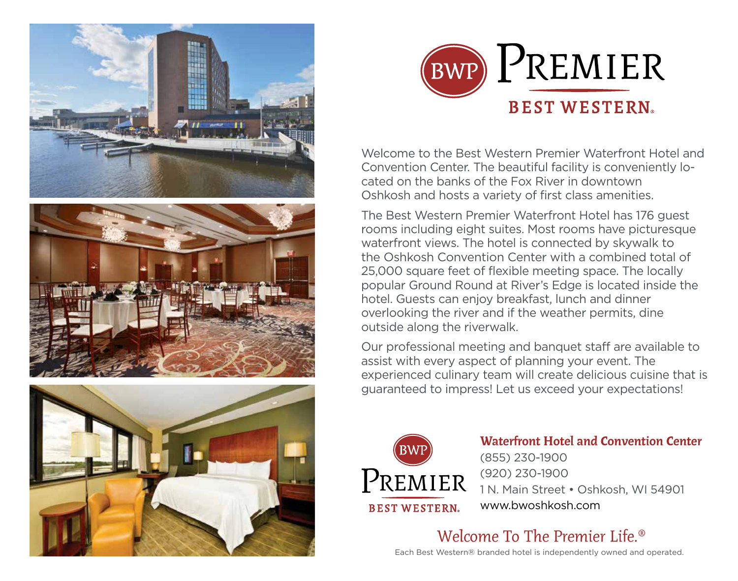







Welcome to the Best Western Premier Waterfront Hotel and Convention Center. The beautiful facility is conveniently located on the banks of the Fox River in downtown Oshkosh and hosts a variety of first class amenities.

The Best Western Premier Waterfront Hotel has 176 guest rooms including eight suites. Most rooms have picturesque waterfront views. The hotel is connected by skywalk to the Oshkosh Convention Center with a combined total of 25,000 square feet of flexible meeting space. The locally popular Ground Round at River's Edge is located inside the hotel. Guests can enjoy breakfast, lunch and dinner overlooking the river and if the weather permits, dine outside along the riverwalk.

Our professional meeting and banquet staff are available to assist with every aspect of planning your event. The experienced culinary team will create delicious cuisine that is guaranteed to impress! Let us exceed your expectations!



Waterfront Hotel and Convention Center (855) 230-1900 (920) 230-1900 1 N. Main Street • Oshkosh, WI 54901 www.bwoshkosh.com

Welcome To The Premier Life.®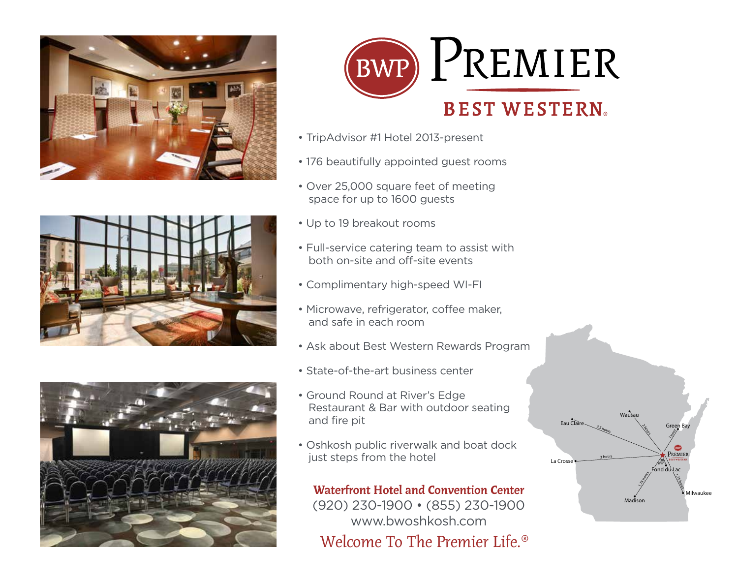



- TripAdvisor #1 Hotel 2013-present
- 176 beautifully appointed guest rooms
- Over 25,000 square feet of meeting space for up to 1600 guests



- Full-service catering team to assist with both on-site and off-site events
- Complimentary high-speed WI-FI
- Microwave, refrigerator, coffee maker, and safe in each room
- Ask about Best Western Rewards Program
- State-of-the-art business center



- Ground Round at River's Edge Restaurant & Bar with outdoor seating and fire pit
- Oshkosh public riverwalk and boat dock just steps from the hotel

Waterfront Hotel and Convention Center (920) 230-1900 • (855) 230-1900 www.bwoshkosh.com Welcome To The Premier Life.<sup>®</sup>



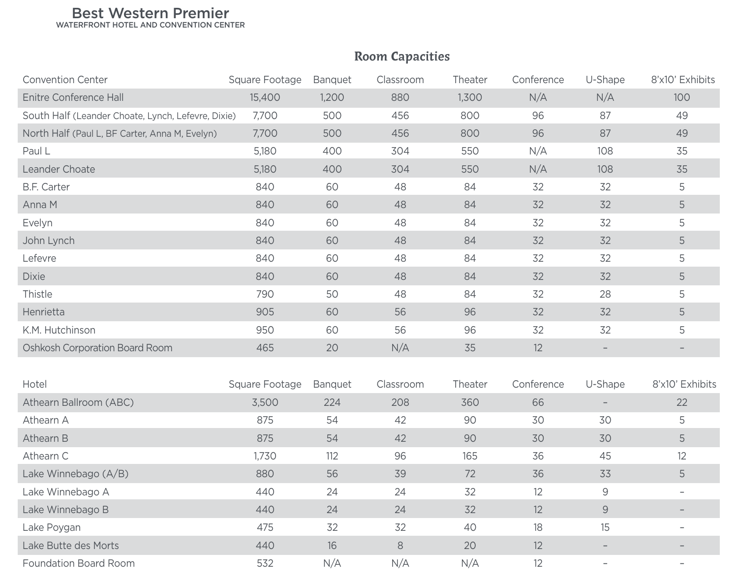## Best Western Premier

WATERFRONT HOTEL AND CONVENTION CENTER

## Convention Center **Synthesty Convention Center** Synthesty Convention Center Conference U-Shape 8'x10' Exhibits Enitre Conference Hall 15,400 1,200 880 1,300 N/A N/A 100 South Half (Leander Choate, Lynch, Lefevre, Dixie) 7,700 500 456 800 96 87 87 49 North Half (Paul L, BF Carter, Anna M, Evelyn) 7,700 500 456 800 96 87 87 49 Paul L 5,180 400 304 550 N/A 108 35 Leander Choate 5,180 400 304 550 N/A 108 35 B.F. Carter 840 60 48 84 32 32 5 Anna M 88 32 32 32 32 32 32 32 32 32 32 32 332 48 32 32 32 32 48 32 32 48 32 32 48 32 48 32 48 32 48 48 32 48 4 Evelyn 840 60 48 84 32 32 5 John Lynch 840 60 48 84 32 32 5 Lefevre 840 60 48 84 32 32 5 Dixie 840 840 60 48 840 5 32 32 5 Thistle 790 50 48 84 32 28 5 Henrietta 905 60 56 96 32 32 5 K.M. Hutchinson 950 60 56 96 32 32 5 Oshkosh Corporation Board Room and the state and 465 12 and 465 12 and 465 12 and 465 12 and 465 12 and 465 12 Hotel Square Footage Banquet Classroom Theater Conference U-Shape 8'x10' Exhibits Athearn Ballroom (ABC) 3,500 224 208 360 66 – 22 Athearn A 875 54 42 90 30 30 5 Athearn B 875 54 42 90 30 30 5 Athearn C 1,730 112 96 165 36 45 12 Lake Winnebago (A/B) 880 56 39 72 36 33 56 Lake Winnebago A 140 24 24 32 12 9 – Lake Winnebago B 12 – 24 – 24 – 24 – 25 – 32 – 25 – 27 – 9 Lake Poygan 475 32 32 40 18 15 – Lake Butte des Morts 440 16 8 20 12 – – Foundation Board Room 532 N/A N/A N/A 12 –

## Room Capacities